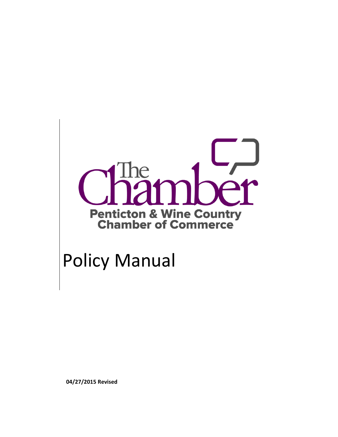

# Policy Manual

**04/27/2015 Revised**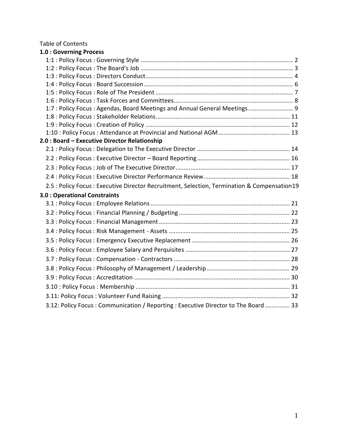Table of Contents

| 1.0 : Governing Process                                                                      |  |
|----------------------------------------------------------------------------------------------|--|
|                                                                                              |  |
|                                                                                              |  |
|                                                                                              |  |
|                                                                                              |  |
|                                                                                              |  |
|                                                                                              |  |
| 1:7: Policy Focus: Agendas, Board Meetings and Annual General Meetings 9                     |  |
|                                                                                              |  |
|                                                                                              |  |
|                                                                                              |  |
| 2.0 : Board - Executive Director Relationship                                                |  |
|                                                                                              |  |
|                                                                                              |  |
|                                                                                              |  |
|                                                                                              |  |
| 2.5 : Policy Focus : Executive Director Recruitment, Selection, Termination & Compensation19 |  |
| <b>3.0: Operational Constraints</b>                                                          |  |
|                                                                                              |  |
|                                                                                              |  |
|                                                                                              |  |
|                                                                                              |  |
|                                                                                              |  |
|                                                                                              |  |
|                                                                                              |  |
|                                                                                              |  |
|                                                                                              |  |
|                                                                                              |  |
|                                                                                              |  |
|                                                                                              |  |
| 3.12: Policy Focus: Communication / Reporting: Executive Director to The Board 33            |  |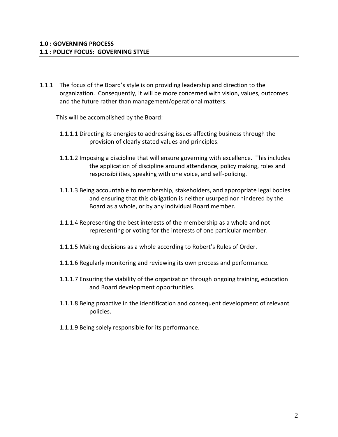1.1.1 The focus of the Board's style is on providing leadership and direction to the organization. Consequently, it will be more concerned with vision, values, outcomes and the future rather than management/operational matters.

This will be accomplished by the Board:

- 1.1.1.1 Directing its energies to addressing issues affecting business through the provision of clearly stated values and principles.
- 1.1.1.2 Imposing a discipline that will ensure governing with excellence. This includes the application of discipline around attendance, policy making, roles and responsibilities, speaking with one voice, and self-policing.
- 1.1.1.3 Being accountable to membership, stakeholders, and appropriate legal bodies and ensuring that this obligation is neither usurped nor hindered by the Board as a whole, or by any individual Board member.
- 1.1.1.4 Representing the best interests of the membership as a whole and not representing or voting for the interests of one particular member.
- 1.1.1.5 Making decisions as a whole according to Robert's Rules of Order.
- 1.1.1.6 Regularly monitoring and reviewing its own process and performance.
- 1.1.1.7 Ensuring the viability of the organization through ongoing training, education and Board development opportunities.
- 1.1.1.8 Being proactive in the identification and consequent development of relevant policies.
- 1.1.1.9 Being solely responsible for its performance.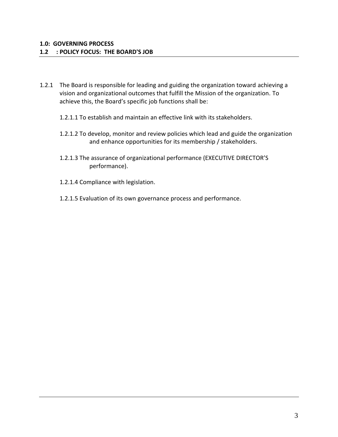## **1.2 : POLICY FOCUS: THE BOARD'S JOB**

- 1.2.1 The Board is responsible for leading and guiding the organization toward achieving a vision and organizational outcomes that fulfill the Mission of the organization. To achieve this, the Board's specific job functions shall be:
	- 1.2.1.1 To establish and maintain an effective link with its stakeholders.
	- 1.2.1.2 To develop, monitor and review policies which lead and guide the organization and enhance opportunities for its membership / stakeholders.
	- 1.2.1.3 The assurance of organizational performance (EXECUTIVE DIRECTOR'S performance).
	- 1.2.1.4 Compliance with legislation.
	- 1.2.1.5 Evaluation of its own governance process and performance.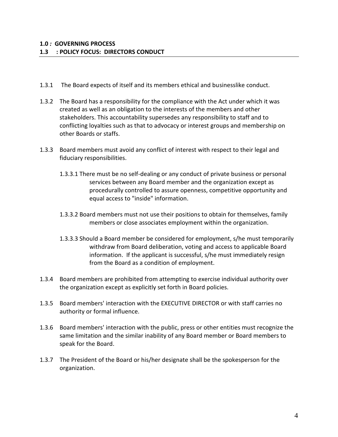- 1.3.1 The Board expects of itself and its members ethical and businesslike conduct.
- 1.3.2 The Board has a responsibility for the compliance with the Act under which it was created as well as an obligation to the interests of the members and other stakeholders. This accountability supersedes any responsibility to staff and to conflicting loyalties such as that to advocacy or interest groups and membership on other Boards or staffs.
- 1.3.3 Board members must avoid any conflict of interest with respect to their legal and fiduciary responsibilities.
	- 1.3.3.1 There must be no self-dealing or any conduct of private business or personal services between any Board member and the organization except as procedurally controlled to assure openness, competitive opportunity and equal access to "inside" information.
	- 1.3.3.2 Board members must not use their positions to obtain for themselves, family members or close associates employment within the organization.
	- 1.3.3.3 Should a Board member be considered for employment, s/he must temporarily withdraw from Board deliberation, voting and access to applicable Board information. If the applicant is successful, s/he must immediately resign from the Board as a condition of employment.
- 1.3.4 Board members are prohibited from attempting to exercise individual authority over the organization except as explicitly set forth in Board policies.
- 1.3.5 Board members' interaction with the EXECUTIVE DIRECTOR or with staff carries no authority or formal influence.
- 1.3.6 Board members' interaction with the public, press or other entities must recognize the same limitation and the similar inability of any Board member or Board members to speak for the Board.
- 1.3.7 The President of the Board or his/her designate shall be the spokesperson for the organization.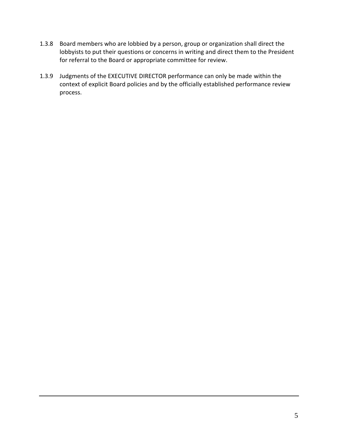- 1.3.8 Board members who are lobbied by a person, group or organization shall direct the lobbyists to put their questions or concerns in writing and direct them to the President for referral to the Board or appropriate committee for review.
- 1.3.9 Judgments of the EXECUTIVE DIRECTOR performance can only be made within the context of explicit Board policies and by the officially established performance review process.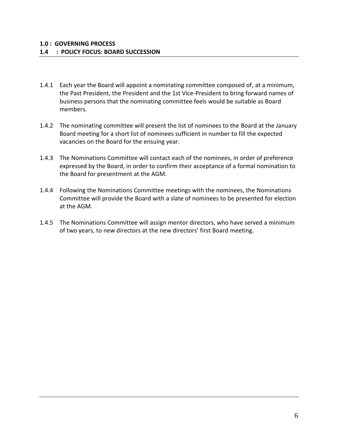- 1.4.1 Each year the Board will appoint a nominating committee composed of, at a minimum, the Past President, the President and the 1st Vice-President to bring forward names of business persons that the nominating committee feels would be suitable as Board members.
- 1.4.2 The nominating committee will present the list of nominees to the Board at the January Board meeting for a short list of nominees sufficient in number to fill the expected vacancies on the Board for the ensuing year.
- 1.4.3 The Nominations Committee will contact each of the nominees, in order of preference expressed by the Board, in order to confirm their acceptance of a formal nomination to the Board for presentment at the AGM.
- 1.4.4 Following the Nominations Committee meetings with the nominees, the Nominations Committee will provide the Board with a slate of nominees to be presented for election at the AGM.
- 1.4.5 The Nominations Committee will assign mentor directors, who have served a minimum of two years, to new directors at the new directors' first Board meeting.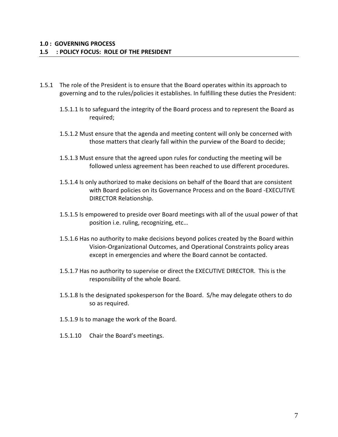- 1.5.1 The role of the President is to ensure that the Board operates within its approach to governing and to the rules/policies it establishes. In fulfilling these duties the President:
	- 1.5.1.1 Is to safeguard the integrity of the Board process and to represent the Board as required;
	- 1.5.1.2 Must ensure that the agenda and meeting content will only be concerned with those matters that clearly fall within the purview of the Board to decide;
	- 1.5.1.3 Must ensure that the agreed upon rules for conducting the meeting will be followed unless agreement has been reached to use different procedures.
	- 1.5.1.4 Is only authorized to make decisions on behalf of the Board that are consistent with Board policies on its Governance Process and on the Board -EXECUTIVE DIRECTOR Relationship.
	- 1.5.1.5 Is empowered to preside over Board meetings with all of the usual power of that position i.e. ruling, recognizing, etc…
	- 1.5.1.6 Has no authority to make decisions beyond polices created by the Board within Vision-Organizational Outcomes, and Operational Constraints policy areas except in emergencies and where the Board cannot be contacted.
	- 1.5.1.7 Has no authority to supervise or direct the EXECUTIVE DIRECTOR. This is the responsibility of the whole Board.
	- 1.5.1.8 Is the designated spokesperson for the Board. S/he may delegate others to do so as required.
	- 1.5.1.9 Is to manage the work of the Board.
	- 1.5.1.10 Chair the Board's meetings.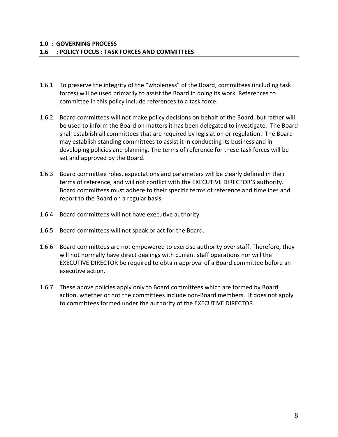- 1.6.1 To preserve the integrity of the "wholeness" of the Board, committees (including task forces) will be used primarily to assist the Board in doing its work. References to committee in this policy include references to a task force.
- 1.6.2 Board committees will not make policy decisions on behalf of the Board, but rather will be used to inform the Board on matters it has been delegated to investigate. The Board shall establish all committees that are required by legislation or regulation. The Board may establish standing committees to assist it in conducting its business and in developing policies and planning. The terms of reference for these task forces will be set and approved by the Board.
- 1.6.3 Board committee roles, expectations and parameters will be clearly defined in their terms of reference, and will not conflict with the EXECUTIVE DIRECTOR'S authority. Board committees must adhere to their specific terms of reference and timelines and report to the Board on a regular basis.
- 1.6.4 Board committees will not have executive authority.
- 1.6.5 Board committees will not speak or act for the Board.
- 1.6.6 Board committees are not empowered to exercise authority over staff. Therefore, they will not normally have direct dealings with current staff operations nor will the EXECUTIVE DIRECTOR be required to obtain approval of a Board committee before an executive action.
- 1.6.7 These above policies apply only to Board committees which are formed by Board action, whether or not the committees include non-Board members. It does not apply to committees formed under the authority of the EXECUTIVE DIRECTOR.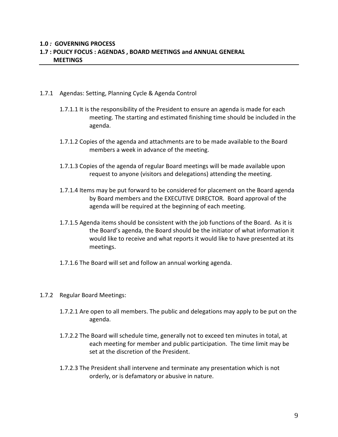#### **1.0** *:* **GOVERNING PROCESS 1.7 : POLICY FOCUS : AGENDAS , BOARD MEETINGS and ANNUAL GENERAL MEETINGS**

- 1.7.1 Agendas: Setting, Planning Cycle & Agenda Control
	- 1.7.1.1 It is the responsibility of the President to ensure an agenda is made for each meeting. The starting and estimated finishing time should be included in the agenda.
	- 1.7.1.2 Copies of the agenda and attachments are to be made available to the Board members a week in advance of the meeting.
	- 1.7.1.3 Copies of the agenda of regular Board meetings will be made available upon request to anyone (visitors and delegations) attending the meeting.
	- 1.7.1.4 Items may be put forward to be considered for placement on the Board agenda by Board members and the EXECUTIVE DIRECTOR. Board approval of the agenda will be required at the beginning of each meeting.
	- 1.7.1.5 Agenda items should be consistent with the job functions of the Board. As it is the Board's agenda, the Board should be the initiator of what information it would like to receive and what reports it would like to have presented at its meetings.
	- 1.7.1.6 The Board will set and follow an annual working agenda.
- 1.7.2 Regular Board Meetings:
	- 1.7.2.1 Are open to all members. The public and delegations may apply to be put on the agenda.
	- 1.7.2.2 The Board will schedule time, generally not to exceed ten minutes in total, at each meeting for member and public participation. The time limit may be set at the discretion of the President.
	- 1.7.2.3 The President shall intervene and terminate any presentation which is not orderly, or is defamatory or abusive in nature.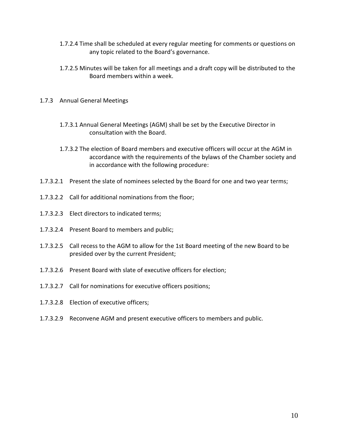- 1.7.2.4 Time shall be scheduled at every regular meeting for comments or questions on any topic related to the Board's governance.
- 1.7.2.5 Minutes will be taken for all meetings and a draft copy will be distributed to the Board members within a week.
- 1.7.3 Annual General Meetings
	- 1.7.3.1 Annual General Meetings (AGM) shall be set by the Executive Director in consultation with the Board.
	- 1.7.3.2 The election of Board members and executive officers will occur at the AGM in accordance with the requirements of the bylaws of the Chamber society and in accordance with the following procedure:
- 1.7.3.2.1 Present the slate of nominees selected by the Board for one and two year terms;
- 1.7.3.2.2 Call for additional nominations from the floor;
- 1.7.3.2.3 Elect directors to indicated terms;
- 1.7.3.2.4 Present Board to members and public;
- 1.7.3.2.5 Call recess to the AGM to allow for the 1st Board meeting of the new Board to be presided over by the current President;
- 1.7.3.2.6 Present Board with slate of executive officers for election;
- 1.7.3.2.7 Call for nominations for executive officers positions;
- 1.7.3.2.8 Election of executive officers;
- 1.7.3.2.9 Reconvene AGM and present executive officers to members and public.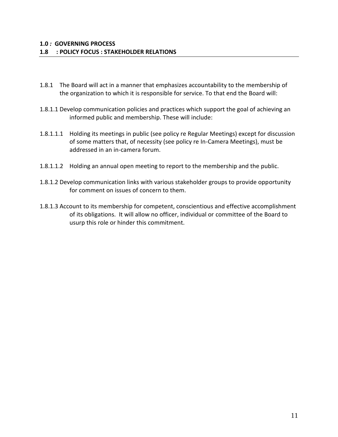- 1.8.1 The Board will act in a manner that emphasizes accountability to the membership of the organization to which it is responsible for service. To that end the Board will:
- 1.8.1.1 Develop communication policies and practices which support the goal of achieving an informed public and membership. These will include:
- 1.8.1.1.1 Holding its meetings in public (see policy re Regular Meetings) except for discussion of some matters that, of necessity (see policy re In-Camera Meetings), must be addressed in an in-camera forum.
- 1.8.1.1.2 Holding an annual open meeting to report to the membership and the public.
- 1.8.1.2 Develop communication links with various stakeholder groups to provide opportunity for comment on issues of concern to them.
- 1.8.1.3 Account to its membership for competent, conscientious and effective accomplishment of its obligations. It will allow no officer, individual or committee of the Board to usurp this role or hinder this commitment.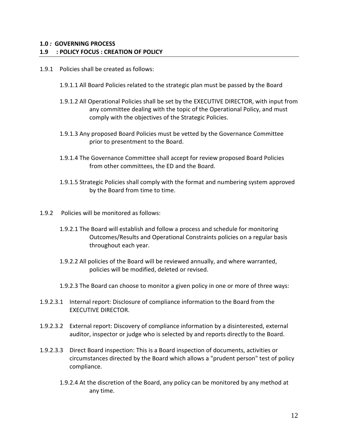## **1.0** *:* **GOVERNING PROCESS 1.9 : POLICY FOCUS : CREATION OF POLICY**

- 1.9.1 Policies shall be created as follows:
	- 1.9.1.1 All Board Policies related to the strategic plan must be passed by the Board
	- 1.9.1.2 All Operational Policies shall be set by the EXECUTIVE DIRECTOR, with input from any committee dealing with the topic of the Operational Policy, and must comply with the objectives of the Strategic Policies.
	- 1.9.1.3 Any proposed Board Policies must be vetted by the Governance Committee prior to presentment to the Board.
	- 1.9.1.4 The Governance Committee shall accept for review proposed Board Policies from other committees, the ED and the Board.
	- 1.9.1.5 Strategic Policies shall comply with the format and numbering system approved by the Board from time to time.
- 1.9.2 Policies will be monitored as follows:
	- 1.9.2.1 The Board will establish and follow a process and schedule for monitoring Outcomes/Results and Operational Constraints policies on a regular basis throughout each year.
	- 1.9.2.2 All policies of the Board will be reviewed annually, and where warranted, policies will be modified, deleted or revised.
	- 1.9.2.3 The Board can choose to monitor a given policy in one or more of three ways:
- 1.9.2.3.1 Internal report: Disclosure of compliance information to the Board from the EXECUTIVE DIRECTOR.
- 1.9.2.3.2 External report: Discovery of compliance information by a disinterested, external auditor, inspector or judge who is selected by and reports directly to the Board.
- 1.9.2.3.3 Direct Board inspection: This is a Board inspection of documents, activities or circumstances directed by the Board which allows a "prudent person" test of policy compliance.
	- 1.9.2.4 At the discretion of the Board, any policy can be monitored by any method at any time.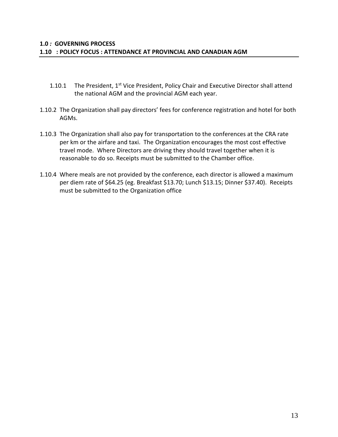- 1.10.1 The President,  $1^{st}$  Vice President, Policy Chair and Executive Director shall attend the national AGM and the provincial AGM each year.
- 1.10.2 The Organization shall pay directors' fees for conference registration and hotel for both AGMs.
- 1.10.3 The Organization shall also pay for transportation to the conferences at the CRA rate per km or the airfare and taxi. The Organization encourages the most cost effective travel mode. Where Directors are driving they should travel together when it is reasonable to do so. Receipts must be submitted to the Chamber office.
- 1.10.4 Where meals are not provided by the conference, each director is allowed a maximum per diem rate of \$64.25 (eg. Breakfast \$13.70; Lunch \$13.15; Dinner \$37.40). Receipts must be submitted to the Organization office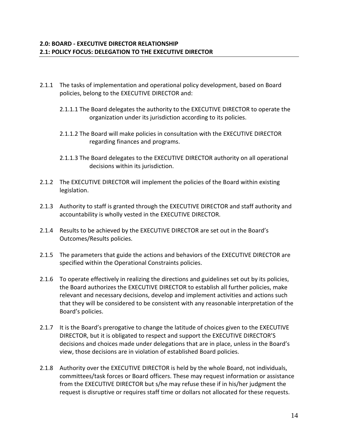- 2.1.1 The tasks of implementation and operational policy development, based on Board policies, belong to the EXECUTIVE DIRECTOR and:
	- 2.1.1.1 The Board delegates the authority to the EXECUTIVE DIRECTOR to operate the organization under its jurisdiction according to its policies.
	- 2.1.1.2 The Board will make policies in consultation with the EXECUTIVE DIRECTOR regarding finances and programs.
	- 2.1.1.3 The Board delegates to the EXECUTIVE DIRECTOR authority on all operational decisions within its jurisdiction.
- 2.1.2 The EXECUTIVE DIRECTOR will implement the policies of the Board within existing legislation.
- 2.1.3 Authority to staff is granted through the EXECUTIVE DIRECTOR and staff authority and accountability is wholly vested in the EXECUTIVE DIRECTOR.
- 2.1.4 Results to be achieved by the EXECUTIVE DIRECTOR are set out in the Board's Outcomes/Results policies.
- 2.1.5 The parameters that guide the actions and behaviors of the EXECUTIVE DIRECTOR are specified within the Operational Constraints policies.
- 2.1.6 To operate effectively in realizing the directions and guidelines set out by its policies, the Board authorizes the EXECUTIVE DIRECTOR to establish all further policies, make relevant and necessary decisions, develop and implement activities and actions such that they will be considered to be consistent with any reasonable interpretation of the Board's policies.
- 2.1.7 It is the Board's prerogative to change the latitude of choices given to the EXECUTIVE DIRECTOR, but it is obligated to respect and support the EXECUTIVE DIRECTOR'S decisions and choices made under delegations that are in place, unless in the Board's view, those decisions are in violation of established Board policies.
- 2.1.8 Authority over the EXECUTIVE DIRECTOR is held by the whole Board, not individuals, committees/task forces or Board officers. These may request information or assistance from the EXECUTIVE DIRECTOR but s/he may refuse these if in his/her judgment the request is disruptive or requires staff time or dollars not allocated for these requests.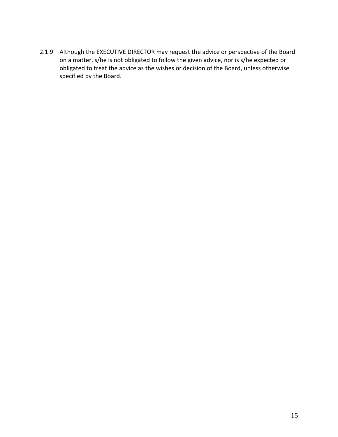2.1.9 Although the EXECUTIVE DIRECTOR may request the advice or perspective of the Board on a matter, s/he is not obligated to follow the given advice, nor is s/he expected or obligated to treat the advice as the wishes or decision of the Board, unless otherwise specified by the Board.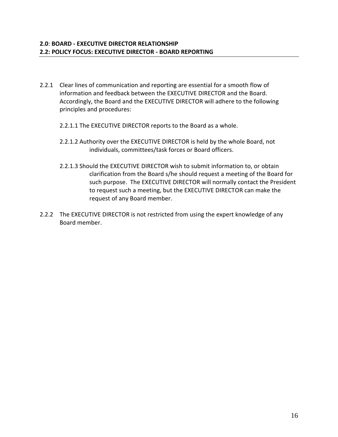- 2.2.1 Clear lines of communication and reporting are essential for a smooth flow of information and feedback between the EXECUTIVE DIRECTOR and the Board. Accordingly, the Board and the EXECUTIVE DIRECTOR will adhere to the following principles and procedures:
	- 2.2.1.1 The EXECUTIVE DIRECTOR reports to the Board as a whole.
	- 2.2.1.2 Authority over the EXECUTIVE DIRECTOR is held by the whole Board, not individuals, committees/task forces or Board officers.
	- 2.2.1.3 Should the EXECUTIVE DIRECTOR wish to submit information to, or obtain clarification from the Board s/he should request a meeting of the Board for such purpose. The EXECUTIVE DIRECTOR will normally contact the President to request such a meeting, but the EXECUTIVE DIRECTOR can make the request of any Board member.
- 2.2.2 The EXECUTIVE DIRECTOR is not restricted from using the expert knowledge of any Board member.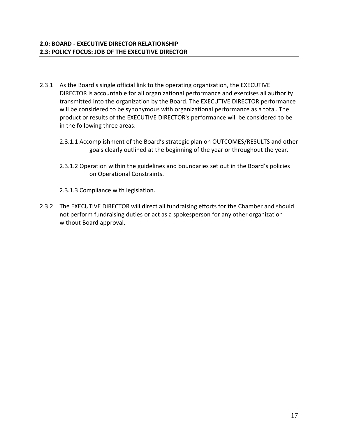- 2.3.1 As the Board's single official link to the operating organization, the EXECUTIVE DIRECTOR is accountable for all organizational performance and exercises all authority transmitted into the organization by the Board. The EXECUTIVE DIRECTOR performance will be considered to be synonymous with organizational performance as a total. The product or results of the EXECUTIVE DIRECTOR's performance will be considered to be in the following three areas:
	- 2.3.1.1 Accomplishment of the Board's strategic plan on OUTCOMES/RESULTS and other goals clearly outlined at the beginning of the year or throughout the year.
	- 2.3.1.2 Operation within the guidelines and boundaries set out in the Board's policies on Operational Constraints.
	- 2.3.1.3 Compliance with legislation.
- 2.3.2 The EXECUTIVE DIRECTOR will direct all fundraising efforts for the Chamber and should not perform fundraising duties or act as a spokesperson for any other organization without Board approval.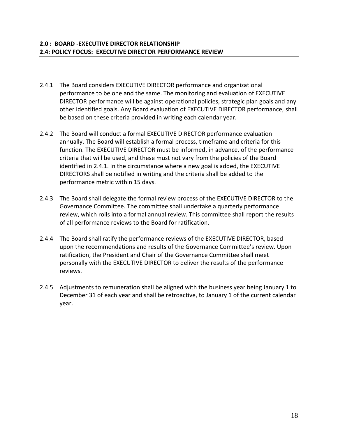- 2.4.1 The Board considers EXECUTIVE DIRECTOR performance and organizational performance to be one and the same. The monitoring and evaluation of EXECUTIVE DIRECTOR performance will be against operational policies, strategic plan goals and any other identified goals. Any Board evaluation of EXECUTIVE DIRECTOR performance, shall be based on these criteria provided in writing each calendar year.
- 2.4.2 The Board will conduct a formal EXECUTIVE DIRECTOR performance evaluation annually. The Board will establish a formal process, timeframe and criteria for this function. The EXECUTIVE DIRECTOR must be informed, in advance, of the performance criteria that will be used, and these must not vary from the policies of the Board identified in 2.4.1. In the circumstance where a new goal is added, the EXECUTIVE DIRECTORS shall be notified in writing and the criteria shall be added to the performance metric within 15 days.
- 2.4.3 The Board shall delegate the formal review process of the EXECUTIVE DIRECTOR to the Governance Committee. The committee shall undertake a quarterly performance review, which rolls into a formal annual review. This committee shall report the results of all performance reviews to the Board for ratification.
- 2.4.4 The Board shall ratify the performance reviews of the EXECUTIVE DIRECTOR, based upon the recommendations and results of the Governance Committee's review. Upon ratification, the President and Chair of the Governance Committee shall meet personally with the EXECUTIVE DIRECTOR to deliver the results of the performance reviews.
- 2.4.5 Adjustments to remuneration shall be aligned with the business year being January 1 to December 31 of each year and shall be retroactive, to January 1 of the current calendar year.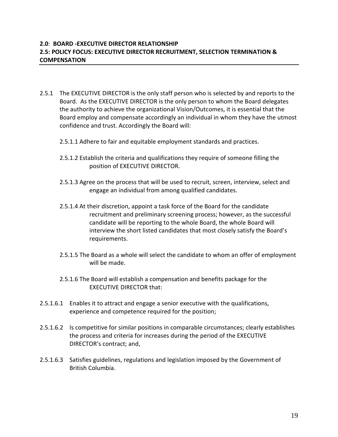## **2.0**: **BOARD -EXECUTIVE DIRECTOR RELATIONSHIP 2.5: POLICY FOCUS: EXECUTIVE DIRECTOR RECRUITMENT, SELECTION TERMINATION & COMPENSATION**

- 2.5.1 The EXECUTIVE DIRECTOR is the only staff person who is selected by and reports to the Board. As the EXECUTIVE DIRECTOR is the only person to whom the Board delegates the authority to achieve the organizational Vision/Outcomes, it is essential that the Board employ and compensate accordingly an individual in whom they have the utmost confidence and trust. Accordingly the Board will:
	- 2.5.1.1 Adhere to fair and equitable employment standards and practices.
	- 2.5.1.2 Establish the criteria and qualifications they require of someone filling the position of EXECUTIVE DIRECTOR.
	- 2.5.1.3 Agree on the process that will be used to recruit, screen, interview, select and engage an individual from among qualified candidates.
	- 2.5.1.4 At their discretion, appoint a task force of the Board for the candidate recruitment and preliminary screening process; however, as the successful candidate will be reporting to the whole Board, the whole Board will interview the short listed candidates that most closely satisfy the Board's requirements.
	- 2.5.1.5 The Board as a whole will select the candidate to whom an offer of employment will be made.
	- 2.5.1.6 The Board will establish a compensation and benefits package for the EXECUTIVE DIRECTOR that:
- 2.5.1.6.1 Enables it to attract and engage a senior executive with the qualifications, experience and competence required for the position;
- 2.5.1.6.2 Is competitive for similar positions in comparable circumstances; clearly establishes the process and criteria for increases during the period of the EXECUTIVE DIRECTOR's contract; and,
- 2.5.1.6.3 Satisfies guidelines, regulations and legislation imposed by the Government of British Columbia.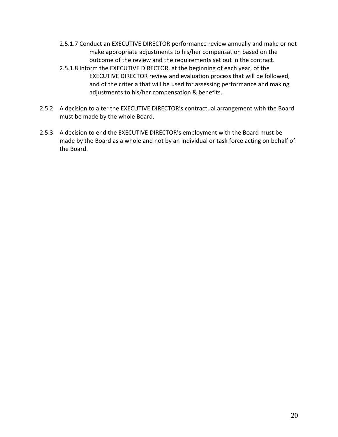- 2.5.1.7 Conduct an EXECUTIVE DIRECTOR performance review annually and make or not make appropriate adjustments to his/her compensation based on the outcome of the review and the requirements set out in the contract.
- 2.5.1.8 Inform the EXECUTIVE DIRECTOR, at the beginning of each year, of the EXECUTIVE DIRECTOR review and evaluation process that will be followed, and of the criteria that will be used for assessing performance and making adjustments to his/her compensation & benefits.
- 2.5.2 A decision to alter the EXECUTIVE DIRECTOR's contractual arrangement with the Board must be made by the whole Board.
- 2.5.3 A decision to end the EXECUTIVE DIRECTOR's employment with the Board must be made by the Board as a whole and not by an individual or task force acting on behalf of the Board.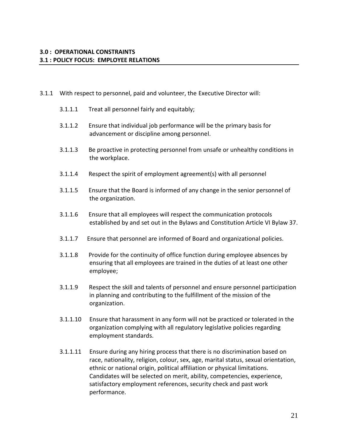- 3.1.1 With respect to personnel, paid and volunteer, the Executive Director will:
	- 3.1.1.1 Treat all personnel fairly and equitably;
	- 3.1.1.2 Ensure that individual job performance will be the primary basis for advancement or discipline among personnel.
	- 3.1.1.3 Be proactive in protecting personnel from unsafe or unhealthy conditions in the workplace.
	- 3.1.1.4 Respect the spirit of employment agreement(s) with all personnel
	- 3.1.1.5 Ensure that the Board is informed of any change in the senior personnel of the organization.
	- 3.1.1.6 Ensure that all employees will respect the communication protocols established by and set out in the Bylaws and Constitution Article VI Bylaw 37.
	- 3.1.1.7 Ensure that personnel are informed of Board and organizational policies.
	- 3.1.1.8 Provide for the continuity of office function during employee absences by ensuring that all employees are trained in the duties of at least one other employee;
	- 3.1.1.9 Respect the skill and talents of personnel and ensure personnel participation in planning and contributing to the fulfillment of the mission of the organization.
	- 3.1.1.10 Ensure that harassment in any form will not be practiced or tolerated in the organization complying with all regulatory legislative policies regarding employment standards.
	- 3.1.1.11 Ensure during any hiring process that there is no discrimination based on race, nationality, religion, colour, sex, age, marital status, sexual orientation, ethnic or national origin, political affiliation or physical limitations. Candidates will be selected on merit, ability, competencies, experience, satisfactory employment references, security check and past work performance.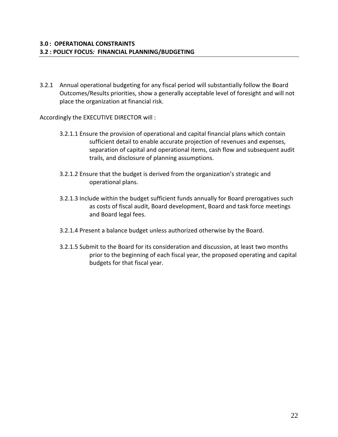3.2.1 Annual operational budgeting for any fiscal period will substantially follow the Board Outcomes/Results priorities, show a generally acceptable level of foresight and will not place the organization at financial risk.

Accordingly the EXECUTIVE DIRECTOR will :

- 3.2.1.1 Ensure the provision of operational and capital financial plans which contain sufficient detail to enable accurate projection of revenues and expenses, separation of capital and operational items, cash flow and subsequent audit trails, and disclosure of planning assumptions.
- 3.2.1.2 Ensure that the budget is derived from the organization's strategic and operational plans.
- 3.2.1.3 Include within the budget sufficient funds annually for Board prerogatives such as costs of fiscal audit, Board development, Board and task force meetings and Board legal fees.
- 3.2.1.4 Present a balance budget unless authorized otherwise by the Board.
- 3.2.1.5 Submit to the Board for its consideration and discussion, at least two months prior to the beginning of each fiscal year, the proposed operating and capital budgets for that fiscal year.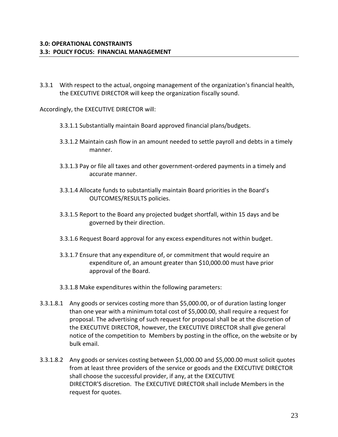3.3.1 With respect to the actual, ongoing management of the organization's financial health, the EXECUTIVE DIRECTOR will keep the organization fiscally sound.

Accordingly, the EXECUTIVE DIRECTOR will:

- 3.3.1.1 Substantially maintain Board approved financial plans/budgets.
- 3.3.1.2 Maintain cash flow in an amount needed to settle payroll and debts in a timely manner.
- 3.3.1.3 Pay or file all taxes and other government-ordered payments in a timely and accurate manner.
- 3.3.1.4 Allocate funds to substantially maintain Board priorities in the Board's OUTCOMES/RESULTS policies.
- 3.3.1.5 Report to the Board any projected budget shortfall, within 15 days and be governed by their direction.
- 3.3.1.6 Request Board approval for any excess expenditures not within budget.
- 3.3.1.7 Ensure that any expenditure of, or commitment that would require an expenditure of, an amount greater than \$10,000.00 must have prior approval of the Board.
- 3.3.1.8 Make expenditures within the following parameters:
- 3.3.1.8.1 Any goods or services costing more than \$5,000.00, or of duration lasting longer than one year with a minimum total cost of \$5,000.00, shall require a request for proposal. The advertising of such request for proposal shall be at the discretion of the EXECUTIVE DIRECTOR, however, the EXECUTIVE DIRECTOR shall give general notice of the competition to Members by posting in the office, on the website or by bulk email.
- 3.3.1.8.2 Any goods or services costing between \$1,000.00 and \$5,000.00 must solicit quotes from at least three providers of the service or goods and the EXECUTIVE DIRECTOR shall choose the successful provider, if any, at the EXECUTIVE DIRECTOR'S discretion. The EXECUTIVE DIRECTOR shall include Members in the request for quotes.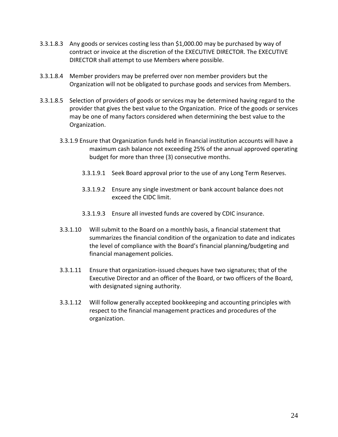- 3.3.1.8.3 Any goods or services costing less than \$1,000.00 may be purchased by way of contract or invoice at the discretion of the EXECUTIVE DIRECTOR. The EXECUTIVE DIRECTOR shall attempt to use Members where possible.
- 3.3.1.8.4 Member providers may be preferred over non member providers but the Organization will not be obligated to purchase goods and services from Members.
- 3.3.1.8.5 Selection of providers of goods or services may be determined having regard to the provider that gives the best value to the Organization. Price of the goods or services may be one of many factors considered when determining the best value to the Organization.
	- 3.3.1.9 Ensure that Organization funds held in financial institution accounts will have a maximum cash balance not exceeding 25% of the annual approved operating budget for more than three (3) consecutive months.
		- 3.3.1.9.1 Seek Board approval prior to the use of any Long Term Reserves.
		- 3.3.1.9.2 Ensure any single investment or bank account balance does not exceed the CIDC limit.
		- 3.3.1.9.3 Ensure all invested funds are covered by CDIC insurance.
	- 3.3.1.10 Will submit to the Board on a monthly basis, a financial statement that summarizes the financial condition of the organization to date and indicates the level of compliance with the Board's financial planning/budgeting and financial management policies.
	- 3.3.1.11 Ensure that organization-issued cheques have two signatures; that of the Executive Director and an officer of the Board, or two officers of the Board, with designated signing authority.
	- 3.3.1.12 Will follow generally accepted bookkeeping and accounting principles with respect to the financial management practices and procedures of the organization.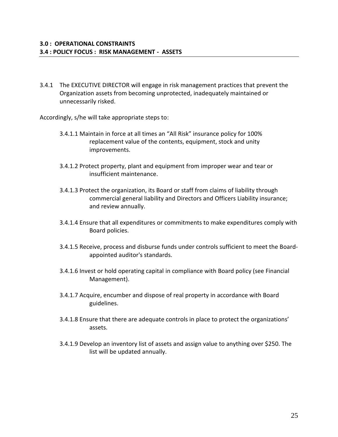3.4.1 The EXECUTIVE DIRECTOR will engage in risk management practices that prevent the Organization assets from becoming unprotected, inadequately maintained or unnecessarily risked.

Accordingly, s/he will take appropriate steps to:

- 3.4.1.1 Maintain in force at all times an "All Risk" insurance policy for 100% replacement value of the contents, equipment, stock and unity improvements.
- 3.4.1.2 Protect property, plant and equipment from improper wear and tear or insufficient maintenance.
- 3.4.1.3 Protect the organization, its Board or staff from claims of liability through commercial general liability and Directors and Officers Liability insurance; and review annually.
- 3.4.1.4 Ensure that all expenditures or commitments to make expenditures comply with Board policies.
- 3.4.1.5 Receive, process and disburse funds under controls sufficient to meet the Boardappointed auditor's standards.
- 3.4.1.6 Invest or hold operating capital in compliance with Board policy (see Financial Management).
- 3.4.1.7 Acquire, encumber and dispose of real property in accordance with Board guidelines.
- 3.4.1.8 Ensure that there are adequate controls in place to protect the organizations' assets.
- 3.4.1.9 Develop an inventory list of assets and assign value to anything over \$250. The list will be updated annually.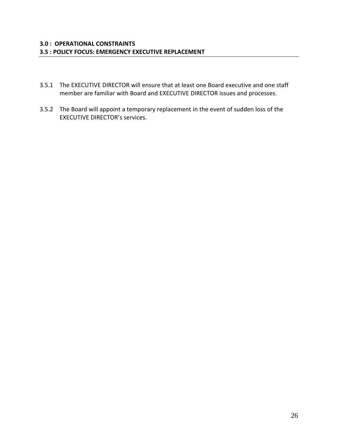- 3.5.1 The EXECUTIVE DIRECTOR will ensure that at least one Board executive and one staff member are familiar with Board and EXECUTIVE DIRECTOR issues and processes.
- 3.5.2 The Board will appoint a temporary replacement in the event of sudden loss of the EXECUTIVE DIRECTOR's services.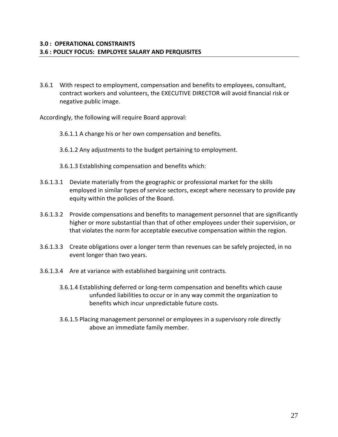3.6.1 With respect to employment, compensation and benefits to employees, consultant, contract workers and volunteers, the EXECUTIVE DIRECTOR will avoid financial risk or negative public image.

Accordingly, the following will require Board approval:

- 3.6.1.1 A change his or her own compensation and benefits.
- 3.6.1.2 Any adjustments to the budget pertaining to employment.
- 3.6.1.3 Establishing compensation and benefits which:
- 3.6.1.3.1 Deviate materially from the geographic or professional market for the skills employed in similar types of service sectors, except where necessary to provide pay equity within the policies of the Board.
- 3.6.1.3.2 Provide compensations and benefits to management personnel that are significantly higher or more substantial than that of other employees under their supervision, or that violates the norm for acceptable executive compensation within the region.
- 3.6.1.3.3 Create obligations over a longer term than revenues can be safely projected, in no event longer than two years.
- 3.6.1.3.4 Are at variance with established bargaining unit contracts.
	- 3.6.1.4 Establishing deferred or long-term compensation and benefits which cause unfunded liabilities to occur or in any way commit the organization to benefits which incur unpredictable future costs.
	- 3.6.1.5 Placing management personnel or employees in a supervisory role directly above an immediate family member.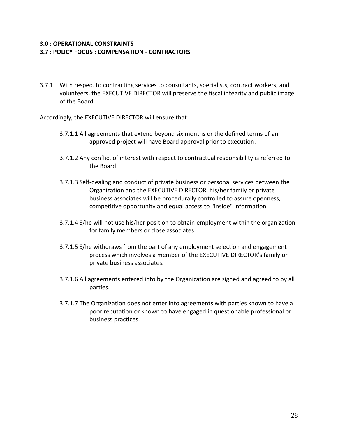3.7.1 With respect to contracting services to consultants, specialists, contract workers, and volunteers, the EXECUTIVE DIRECTOR will preserve the fiscal integrity and public image of the Board.

Accordingly, the EXECUTIVE DIRECTOR will ensure that:

- 3.7.1.1 All agreements that extend beyond six months or the defined terms of an approved project will have Board approval prior to execution.
- 3.7.1.2 Any conflict of interest with respect to contractual responsibility is referred to the Board.
- 3.7.1.3 Self-dealing and conduct of private business or personal services between the Organization and the EXECUTIVE DIRECTOR, his/her family or private business associates will be procedurally controlled to assure openness, competitive opportunity and equal access to "inside" information.
- 3.7.1.4 S/he will not use his/her position to obtain employment within the organization for family members or close associates.
- 3.7.1.5 S/he withdraws from the part of any employment selection and engagement process which involves a member of the EXECUTIVE DIRECTOR's family or private business associates.
- 3.7.1.6 All agreements entered into by the Organization are signed and agreed to by all parties.
- 3.7.1.7 The Organization does not enter into agreements with parties known to have a poor reputation or known to have engaged in questionable professional or business practices.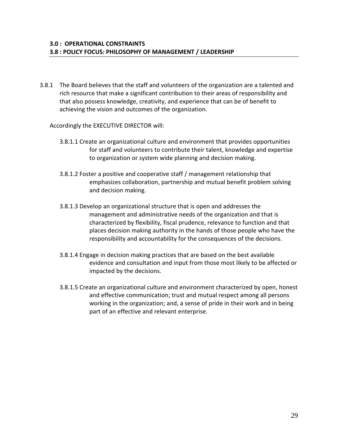3.8.1 The Board believes that the staff and volunteers of the organization are a talented and rich resource that make a significant contribution to their areas of responsibility and that also possess knowledge, creativity, and experience that can be of benefit to achieving the vision and outcomes of the organization.

Accordingly the EXECUTIVE DIRECTOR will:

- 3.8.1.1 Create an organizational culture and environment that provides opportunities for staff and volunteers to contribute their talent, knowledge and expertise to organization or system wide planning and decision making.
- 3.8.1.2 Foster a positive and cooperative staff / management relationship that emphasizes collaboration, partnership and mutual benefit problem solving and decision making.
- 3.8.1.3 Develop an organizational structure that is open and addresses the management and administrative needs of the organization and that is characterized by flexibility, fiscal prudence, relevance to function and that places decision making authority in the hands of those people who have the responsibility and accountability for the consequences of the decisions.
- 3.8.1.4 Engage in decision making practices that are based on the best available evidence and consultation and input from those most likely to be affected or impacted by the decisions.
- 3.8.1.5 Create an organizational culture and environment characterized by open, honest and effective communication; trust and mutual respect among all persons working in the organization; and, a sense of pride in their work and in being part of an effective and relevant enterprise.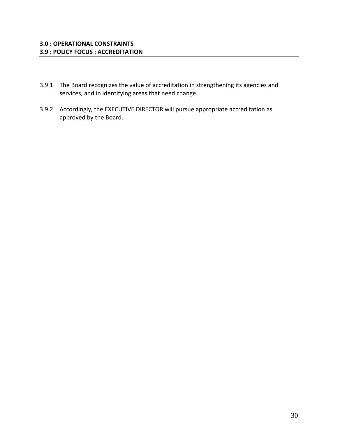- 3.9.1 The Board recognizes the value of accreditation in strengthening its agencies and services, and in identifying areas that need change.
- 3.9.2 Accordingly, the EXECUTIVE DIRECTOR will pursue appropriate accreditation as approved by the Board.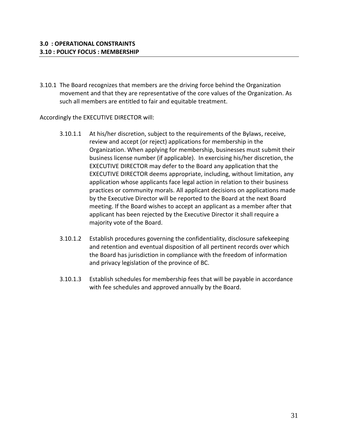3.10.1 The Board recognizes that members are the driving force behind the Organization movement and that they are representative of the core values of the Organization. As such all members are entitled to fair and equitable treatment.

Accordingly the EXECUTIVE DIRECTOR will:

- 3.10.1.1 At his/her discretion, subject to the requirements of the Bylaws, receive, review and accept (or reject) applications for membership in the Organization. When applying for membership, businesses must submit their business license number (if applicable). In exercising his/her discretion, the EXECUTIVE DIRECTOR may defer to the Board any application that the EXECUTIVE DIRECTOR deems appropriate, including, without limitation, any application whose applicants face legal action in relation to their business practices or community morals. All applicant decisions on applications made by the Executive Director will be reported to the Board at the next Board meeting. If the Board wishes to accept an applicant as a member after that applicant has been rejected by the Executive Director it shall require a majority vote of the Board.
- 3.10.1.2 Establish procedures governing the confidentiality, disclosure safekeeping and retention and eventual disposition of all pertinent records over which the Board has jurisdiction in compliance with the freedom of information and privacy legislation of the province of BC.
- 3.10.1.3 Establish schedules for membership fees that will be payable in accordance with fee schedules and approved annually by the Board.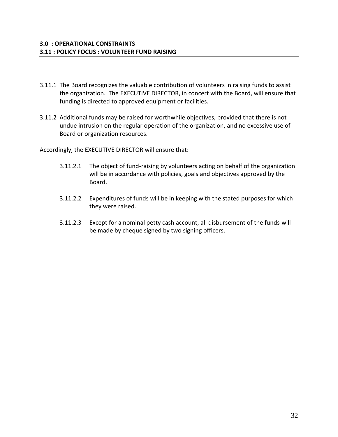- 3.11.1 The Board recognizes the valuable contribution of volunteers in raising funds to assist the organization. The EXECUTIVE DIRECTOR, in concert with the Board, will ensure that funding is directed to approved equipment or facilities.
- 3.11.2 Additional funds may be raised for worthwhile objectives, provided that there is not undue intrusion on the regular operation of the organization, and no excessive use of Board or organization resources.

Accordingly, the EXECUTIVE DIRECTOR will ensure that:

- 3.11.2.1 The object of fund-raising by volunteers acting on behalf of the organization will be in accordance with policies, goals and objectives approved by the Board.
- 3.11.2.2 Expenditures of funds will be in keeping with the stated purposes for which they were raised.
- 3.11.2.3 Except for a nominal petty cash account, all disbursement of the funds will be made by cheque signed by two signing officers.